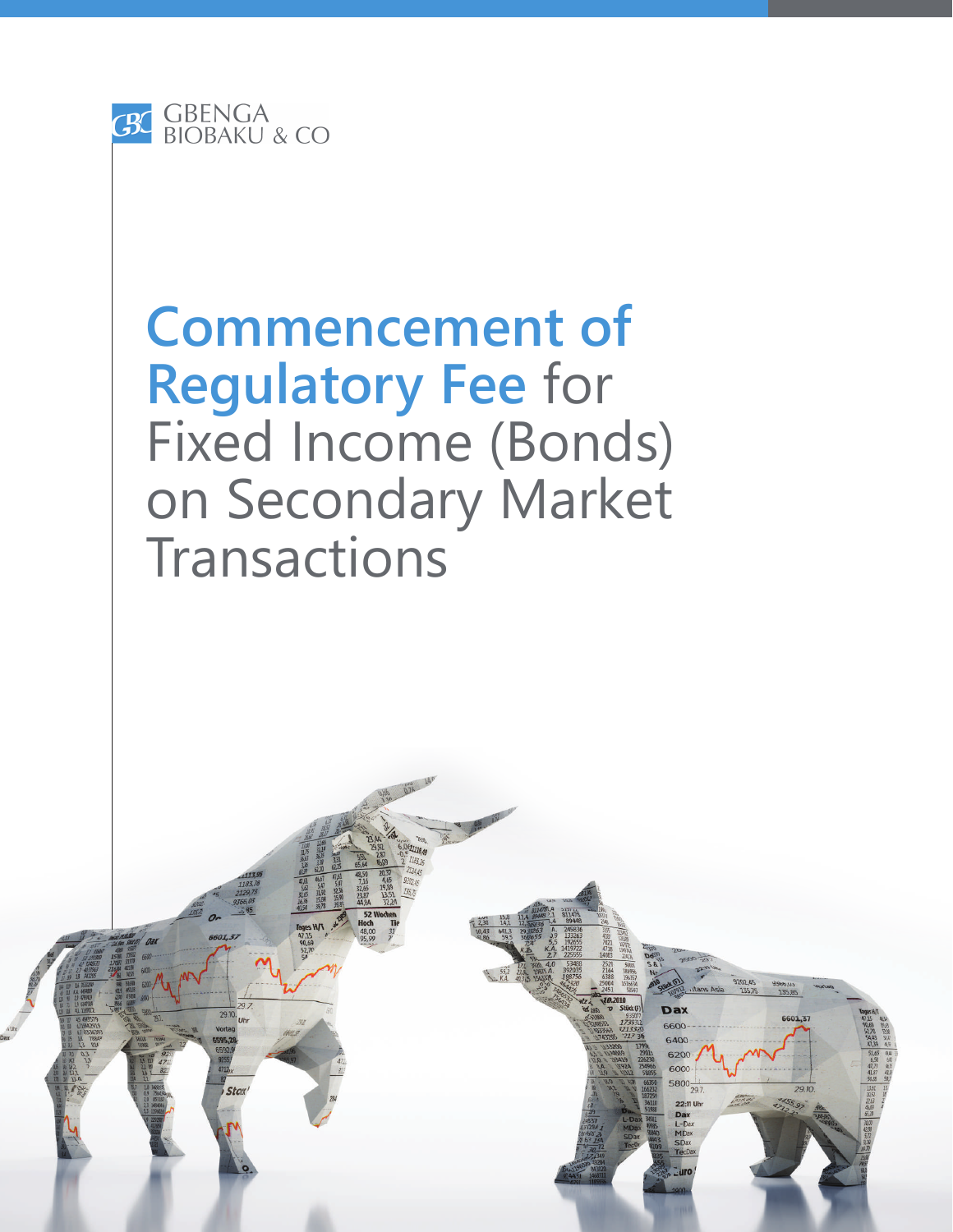

## **Commencement of Regulatory Fee** for Fixed Income (Bonds) on Secondary Market Transactions

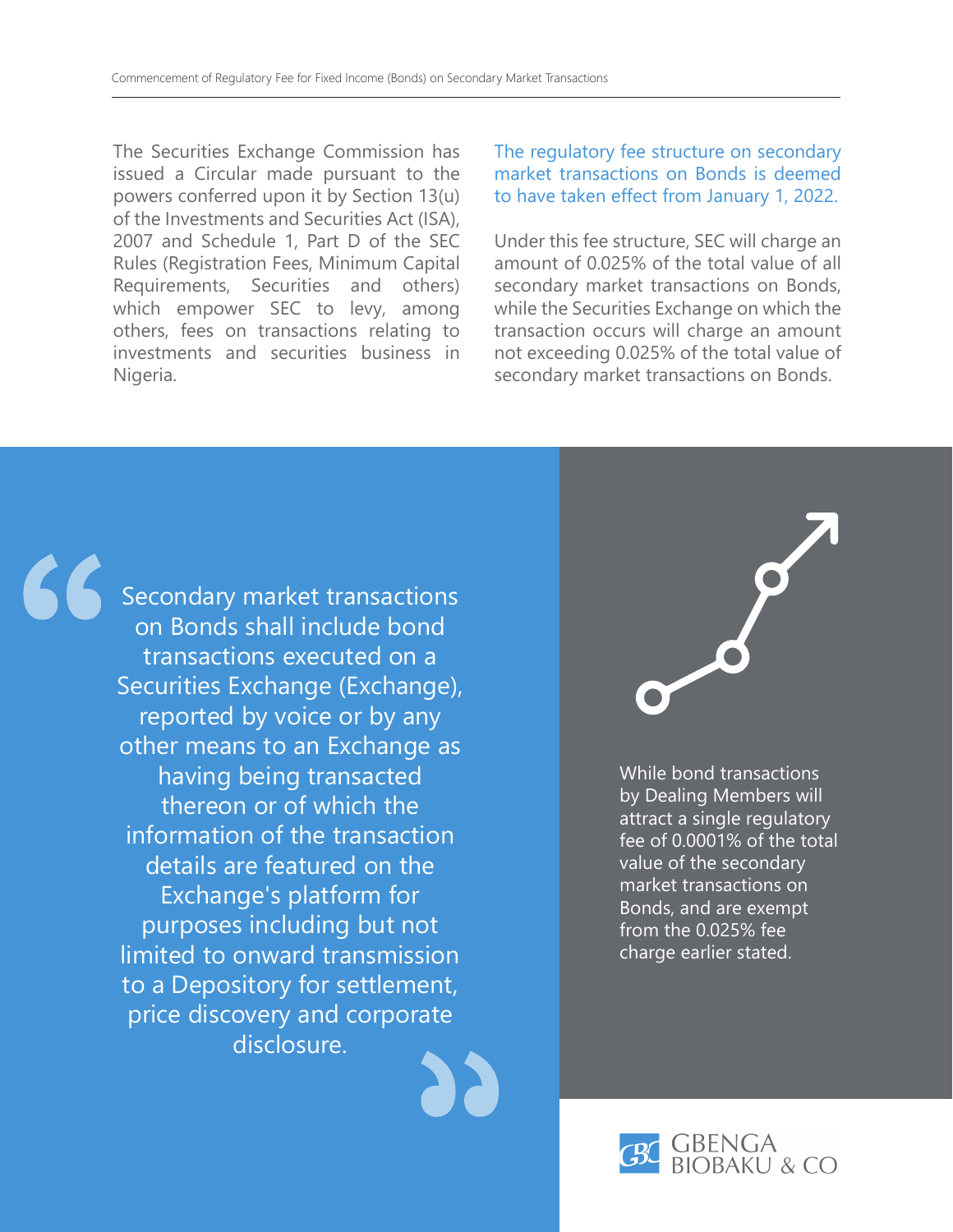The Securities Exchange Commission has issued a Circular made pursuant to the powers conferred upon it by Section 13(u) of the Investments and Securities Act (ISA), 2007 and Schedule 1, Part D of the SEC Rules (Registration Fees, Minimum Capital Requirements, Securities and others) which empower SEC to levy, among others, fees on transactions relating to investments and securities business in Nigeria.

The regulatory fee structure on secondary market transactions on Bonds is deemed to have taken effect from January 1, 2022.

Under this fee structure, SEC will charge an amount of 0.025% of the total value of all secondary market transactions on Bonds, while the Securities Exchange on which the transaction occurs will charge an amount not exceeding 0.025% of the total value of secondary market transactions on Bonds.



Secondary market transactions on Bonds shall include bond transactions executed on a Securities Exchange (Exchange), reported by voice or by any other means to an Exchange as having being transacted thereon or of which the information of the transaction details are featured on the Exchange's platform for purposes including but not limited to onward transmission to a Depository for settlement, price discovery and corporate disclosure.



While bond transactions by Dealing Members will attract a single regulatory fee of 0.0001% of the total value of the secondary market transactions on Bonds, and are exempt from the 0.025% fee charge earlier stated.